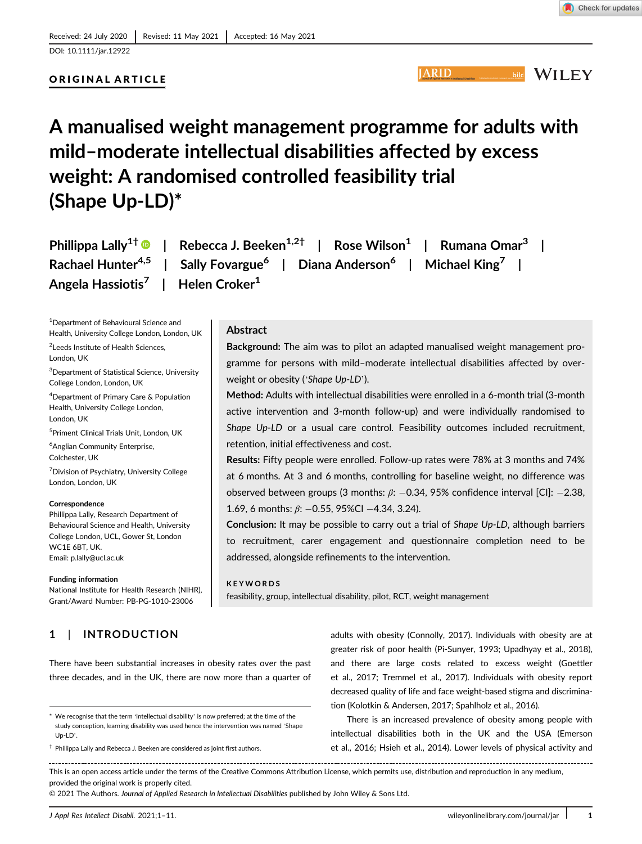DOI: 10.1111/jar.12922

# ORIGINAL ARTICLE

**IARID** 

Background: The aim was to pilot an adapted manualised weight management programme for persons with mild–moderate intellectual disabilities affected by over-

Method: Adults with intellectual disabilities were enrolled in a 6-month trial (3-month active intervention and 3-month follow-up) and were individually randomised to Shape Up-LD or a usual care control. Feasibility outcomes included recruitment,

Results: Fifty people were enrolled. Follow-up rates were 78% at 3 months and 74% at 6 months. At 3 and 6 months, controlling for baseline weight, no difference was observed between groups (3 months:  $\beta$ : -0.34, 95% confidence interval [CI]: -2.38,

Conclusion: It may be possible to carry out a trial of Shape Up-LD, although barriers to recruitment, carer engagement and questionnaire completion need to be

# **WILEY**

bild

# A manualised weight management programme for adults with mild–moderate intellectual disabilities affected by excess weight: A randomised controlled feasibility trial (Shape Up-LD)\*

|                                           | Phillippa Lally <sup>1†</sup> <sup>1</sup> Rebecca J. Beeken <sup>1,2†</sup>   Rose Wilson <sup>1</sup>   Rumana Omar <sup>3</sup> |
|-------------------------------------------|------------------------------------------------------------------------------------------------------------------------------------|
|                                           | Rachael Hunter <sup>4,5</sup>   Sally Fovargue <sup>6</sup>   Diana Anderson <sup>6</sup>   Michael King <sup>7</sup>              |
| Angela Hassiotis $^7$   Helen Croker $^1$ |                                                                                                                                    |

weight or obesity ('Shape Up-LD').

retention, initial effectiveness and cost.

1.69, 6 months:  $\beta$ : -0.55, 95%CI -4.34, 3.24).

addressed, alongside refinements to the intervention.

feasibility, group, intellectual disability, pilot, RCT, weight management

Abstract

KEYWORDS

1 Department of Behavioural Science and Health, University College London, London, UK

<sup>2</sup> Leeds Institute of Health Sciences, London, UK

<sup>3</sup>Department of Statistical Science, University College London, London, UK

4 Department of Primary Care & Population Health, University College London, London, UK

5 Priment Clinical Trials Unit, London, UK

6 Anglian Community Enterprise, Colchester, UK

<sup>7</sup> Division of Psychiatry, University College London, London, UK

#### Correspondence

Phillippa Lally, Research Department of Behavioural Science and Health, University College London, UCL, Gower St, London WC1E 6BT, UK. Email: [p.lally@ucl.ac.uk](mailto:p.lally@ucl.ac.uk)

#### Funding information

National Institute for Health Research (NIHR), Grant/Award Number: PB-PG-1010-23006

# 1 | INTRODUCTION

There have been substantial increases in obesity rates over the past three decades, and in the UK, there are now more than a quarter of

 $\dagger$  Phillippa Lally and Rebecca J. Beeken are considered as joint first authors.

adults with obesity (Connolly, 2017). Individuals with obesity are at greater risk of poor health (Pi-Sunyer, 1993; Upadhyay et al., 2018), and there are large costs related to excess weight (Goettler et al., 2017; Tremmel et al., 2017). Individuals with obesity report decreased quality of life and face weight-based stigma and discrimination (Kolotkin & Andersen, 2017; Spahlholz et al., 2016).

There is an increased prevalence of obesity among people with intellectual disabilities both in the UK and the USA (Emerson et al., 2016; Hsieh et al., 2014). Lower levels of physical activity and

This is an open access article under the terms of the [Creative Commons Attribution](http://creativecommons.org/licenses/by/4.0/) License, which permits use, distribution and reproduction in any medium, provided the original work is properly cited.

© 2021 The Authors. Journal of Applied Research in Intellectual Disabilities published by John Wiley & Sons Ltd.

<sup>\*</sup> We recognise that the term 'intellectual disability' is now preferred; at the time of the study conception, learning disability was used hence the intervention was named 'Shape Up-LD'.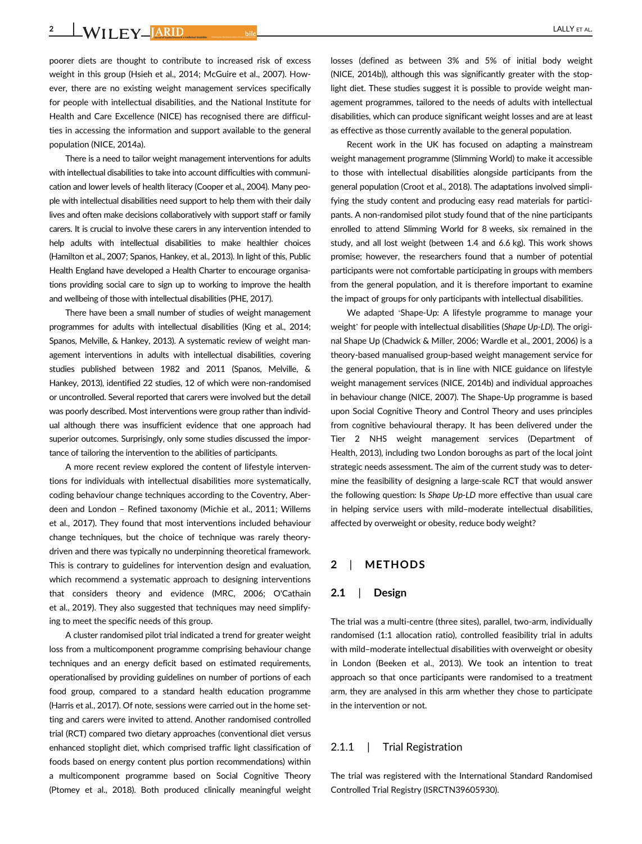2 WILEY JARID bild bild **CALLY ET AL.** 

poorer diets are thought to contribute to increased risk of excess weight in this group (Hsieh et al., 2014; McGuire et al., 2007). However, there are no existing weight management services specifically for people with intellectual disabilities, and the National Institute for Health and Care Excellence (NICE) has recognised there are difficulties in accessing the information and support available to the general population (NICE, 2014a).

There is a need to tailor weight management interventions for adults with intellectual disabilities to take into account difficulties with communication and lower levels of health literacy (Cooper et al., 2004). Many people with intellectual disabilities need support to help them with their daily lives and often make decisions collaboratively with support staff or family carers. It is crucial to involve these carers in any intervention intended to help adults with intellectual disabilities to make healthier choices (Hamilton et al., 2007; Spanos, Hankey, et al., 2013). In light of this, Public Health England have developed a Health Charter to encourage organisations providing social care to sign up to working to improve the health and wellbeing of those with intellectual disabilities (PHE, 2017).

There have been a small number of studies of weight management programmes for adults with intellectual disabilities (King et al., 2014; Spanos, Melville, & Hankey, 2013). A systematic review of weight management interventions in adults with intellectual disabilities, covering studies published between 1982 and 2011 (Spanos, Melville, & Hankey, 2013), identified 22 studies, 12 of which were non-randomised or uncontrolled. Several reported that carers were involved but the detail was poorly described. Most interventions were group rather than individual although there was insufficient evidence that one approach had superior outcomes. Surprisingly, only some studies discussed the importance of tailoring the intervention to the abilities of participants.

A more recent review explored the content of lifestyle interventions for individuals with intellectual disabilities more systematically, coding behaviour change techniques according to the Coventry, Aberdeen and London – Refined taxonomy (Michie et al., 2011; Willems et al., 2017). They found that most interventions included behaviour change techniques, but the choice of technique was rarely theorydriven and there was typically no underpinning theoretical framework. This is contrary to guidelines for intervention design and evaluation, which recommend a systematic approach to designing interventions that considers theory and evidence (MRC, 2006; O'Cathain et al., 2019). They also suggested that techniques may need simplifying to meet the specific needs of this group.

A cluster randomised pilot trial indicated a trend for greater weight loss from a multicomponent programme comprising behaviour change techniques and an energy deficit based on estimated requirements, operationalised by providing guidelines on number of portions of each food group, compared to a standard health education programme (Harris et al., 2017). Of note, sessions were carried out in the home setting and carers were invited to attend. Another randomised controlled trial (RCT) compared two dietary approaches (conventional diet versus enhanced stoplight diet, which comprised traffic light classification of foods based on energy content plus portion recommendations) within a multicomponent programme based on Social Cognitive Theory (Ptomey et al., 2018). Both produced clinically meaningful weight

losses (defined as between 3% and 5% of initial body weight (NICE, 2014b)), although this was significantly greater with the stoplight diet. These studies suggest it is possible to provide weight management programmes, tailored to the needs of adults with intellectual disabilities, which can produce significant weight losses and are at least as effective as those currently available to the general population.

Recent work in the UK has focused on adapting a mainstream weight management programme (Slimming World) to make it accessible to those with intellectual disabilities alongside participants from the general population (Croot et al., 2018). The adaptations involved simplifying the study content and producing easy read materials for participants. A non-randomised pilot study found that of the nine participants enrolled to attend Slimming World for 8 weeks, six remained in the study, and all lost weight (between 1.4 and 6.6 kg). This work shows promise; however, the researchers found that a number of potential participants were not comfortable participating in groups with members from the general population, and it is therefore important to examine the impact of groups for only participants with intellectual disabilities.

We adapted 'Shape-Up: A lifestyle programme to manage your weight' for people with intellectual disabilities (Shape Up-LD). The original Shape Up (Chadwick & Miller, 2006; Wardle et al., 2001, 2006) is a theory-based manualised group-based weight management service for the general population, that is in line with NICE guidance on lifestyle weight management services (NICE, 2014b) and individual approaches in behaviour change (NICE, 2007). The Shape-Up programme is based upon Social Cognitive Theory and Control Theory and uses principles from cognitive behavioural therapy. It has been delivered under the Tier 2 NHS weight management services (Department of Health, 2013), including two London boroughs as part of the local joint strategic needs assessment. The aim of the current study was to determine the feasibility of designing a large-scale RCT that would answer the following question: Is Shape Up-LD more effective than usual care in helping service users with mild–moderate intellectual disabilities, affected by overweight or obesity, reduce body weight?

# 2 | METHODS

#### 2.1 | Design

The trial was a multi-centre (three sites), parallel, two-arm, individually randomised (1:1 allocation ratio), controlled feasibility trial in adults with mild–moderate intellectual disabilities with overweight or obesity in London (Beeken et al., 2013). We took an intention to treat approach so that once participants were randomised to a treatment arm, they are analysed in this arm whether they chose to participate in the intervention or not.

#### 2.1.1 | Trial Registration

The trial was registered with the International Standard Randomised Controlled Trial Registry (ISRCTN39605930).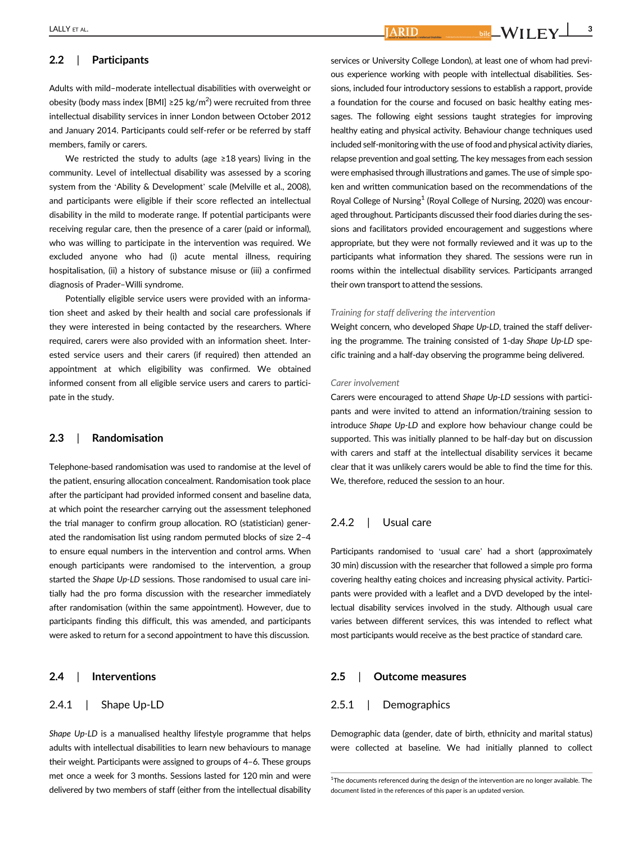# 2.2 | Participants

Adults with mild–moderate intellectual disabilities with overweight or obesity (body mass index [BMI] ≥25 kg/m<sup>2</sup>) were recruited from three intellectual disability services in inner London between October 2012 and January 2014. Participants could self-refer or be referred by staff members, family or carers.

We restricted the study to adults (age ≥18 years) living in the community. Level of intellectual disability was assessed by a scoring system from the 'Ability & Development' scale (Melville et al., 2008), and participants were eligible if their score reflected an intellectual disability in the mild to moderate range. If potential participants were receiving regular care, then the presence of a carer (paid or informal), who was willing to participate in the intervention was required. We excluded anyone who had (i) acute mental illness, requiring hospitalisation, (ii) a history of substance misuse or (iii) a confirmed diagnosis of Prader–Willi syndrome.

Potentially eligible service users were provided with an information sheet and asked by their health and social care professionals if they were interested in being contacted by the researchers. Where required, carers were also provided with an information sheet. Interested service users and their carers (if required) then attended an appointment at which eligibility was confirmed. We obtained informed consent from all eligible service users and carers to participate in the study.

#### 2.3 | Randomisation

Telephone-based randomisation was used to randomise at the level of the patient, ensuring allocation concealment. Randomisation took place after the participant had provided informed consent and baseline data, at which point the researcher carrying out the assessment telephoned the trial manager to confirm group allocation. RO (statistician) generated the randomisation list using random permuted blocks of size 2–4 to ensure equal numbers in the intervention and control arms. When enough participants were randomised to the intervention, a group started the Shape Up-LD sessions. Those randomised to usual care initially had the pro forma discussion with the researcher immediately after randomisation (within the same appointment). However, due to participants finding this difficult, this was amended, and participants were asked to return for a second appointment to have this discussion.

#### 2.4 | Interventions

# 2.4.1 | Shape Up-LD

Shape Up-LD is a manualised healthy lifestyle programme that helps adults with intellectual disabilities to learn new behaviours to manage their weight. Participants were assigned to groups of 4–6. These groups met once a week for 3 months. Sessions lasted for 120 min and were delivered by two members of staff (either from the intellectual disability services or University College London), at least one of whom had previous experience working with people with intellectual disabilities. Sessions, included four introductory sessions to establish a rapport, provide a foundation for the course and focused on basic healthy eating messages. The following eight sessions taught strategies for improving healthy eating and physical activity. Behaviour change techniques used included self-monitoring with the use of food and physical activity diaries, relapse prevention and goal setting. The key messages from each session were emphasised through illustrations and games. The use of simple spoken and written communication based on the recommendations of the Royal College of Nursing<sup>1</sup> (Royal College of Nursing, 2020) was encouraged throughout. Participants discussed their food diaries during the sessions and facilitators provided encouragement and suggestions where appropriate, but they were not formally reviewed and it was up to the participants what information they shared. The sessions were run in rooms within the intellectual disability services. Participants arranged their own transport to attend the sessions.

#### Training for staff delivering the intervention

Weight concern, who developed Shape Up-LD, trained the staff delivering the programme. The training consisted of 1-day Shape Up-LD specific training and a half-day observing the programme being delivered.

#### Carer involvement

Carers were encouraged to attend Shape Up-LD sessions with participants and were invited to attend an information/training session to introduce Shape Up-LD and explore how behaviour change could be supported. This was initially planned to be half-day but on discussion with carers and staff at the intellectual disability services it became clear that it was unlikely carers would be able to find the time for this. We, therefore, reduced the session to an hour.

#### 2.4.2 | Usual care

Participants randomised to 'usual care' had a short (approximately 30 min) discussion with the researcher that followed a simple pro forma covering healthy eating choices and increasing physical activity. Participants were provided with a leaflet and a DVD developed by the intellectual disability services involved in the study. Although usual care varies between different services, this was intended to reflect what most participants would receive as the best practice of standard care.

### 2.5 | Outcome measures

## 2.5.1 | Demographics

Demographic data (gender, date of birth, ethnicity and marital status) were collected at baseline. We had initially planned to collect

<sup>&</sup>lt;sup>1</sup>The documents referenced during the design of the intervention are no longer available. The document listed in the references of this paper is an updated version.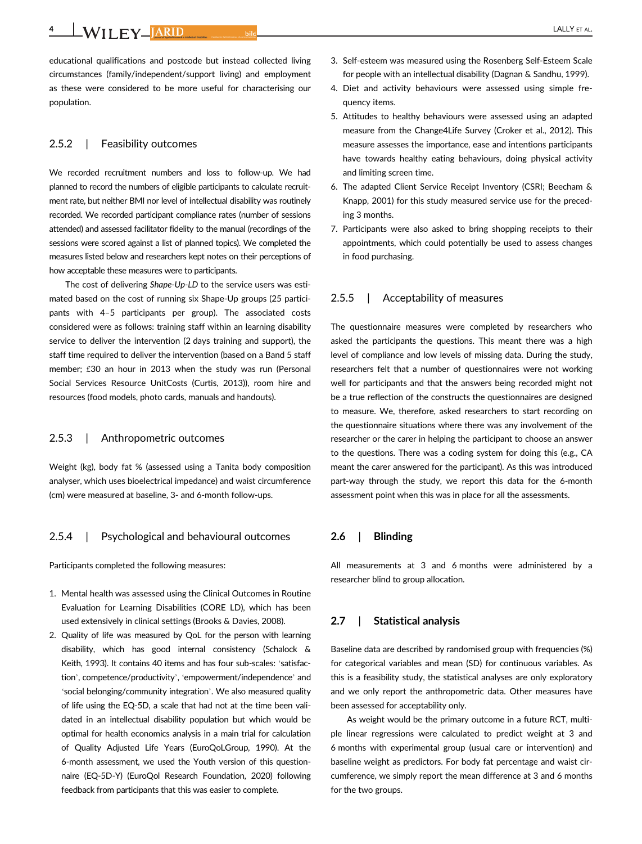4 WILEY JARID bild bild **CALLY ET AL.** 

educational qualifications and postcode but instead collected living circumstances (family/independent/support living) and employment as these were considered to be more useful for characterising our population.

# 2.5.2 | Feasibility outcomes

We recorded recruitment numbers and loss to follow-up. We had planned to record the numbers of eligible participants to calculate recruitment rate, but neither BMI nor level of intellectual disability was routinely recorded. We recorded participant compliance rates (number of sessions attended) and assessed facilitator fidelity to the manual (recordings of the sessions were scored against a list of planned topics). We completed the measures listed below and researchers kept notes on their perceptions of how acceptable these measures were to participants.

The cost of delivering Shape-Up-LD to the service users was estimated based on the cost of running six Shape-Up groups (25 participants with 4–5 participants per group). The associated costs considered were as follows: training staff within an learning disability service to deliver the intervention (2 days training and support), the staff time required to deliver the intervention (based on a Band 5 staff member; £30 an hour in 2013 when the study was run (Personal Social Services Resource UnitCosts (Curtis, 2013)), room hire and resources (food models, photo cards, manuals and handouts).

# 2.5.3 | Anthropometric outcomes

Weight (kg), body fat % (assessed using a Tanita body composition analyser, which uses bioelectrical impedance) and waist circumference (cm) were measured at baseline, 3- and 6-month follow-ups.

# 2.5.4 | Psychological and behavioural outcomes

Participants completed the following measures:

- 1. Mental health was assessed using the Clinical Outcomes in Routine Evaluation for Learning Disabilities (CORE LD), which has been used extensively in clinical settings (Brooks & Davies, 2008).
- 2. Quality of life was measured by QoL for the person with learning disability, which has good internal consistency (Schalock & Keith, 1993). It contains 40 items and has four sub-scales: 'satisfaction', competence/productivity', 'empowerment/independence' and 'social belonging/community integration'. We also measured quality of life using the EQ-5D, a scale that had not at the time been validated in an intellectual disability population but which would be optimal for health economics analysis in a main trial for calculation of Quality Adjusted Life Years (EuroQoLGroup, 1990). At the 6-month assessment, we used the Youth version of this questionnaire (EQ-5D-Y) (EuroQol Research Foundation, 2020) following feedback from participants that this was easier to complete.
- 3. Self-esteem was measured using the Rosenberg Self-Esteem Scale for people with an intellectual disability (Dagnan & Sandhu, 1999).
- 4. Diet and activity behaviours were assessed using simple frequency items.
- 5. Attitudes to healthy behaviours were assessed using an adapted measure from the Change4Life Survey (Croker et al., 2012). This measure assesses the importance, ease and intentions participants have towards healthy eating behaviours, doing physical activity and limiting screen time.
- 6. The adapted Client Service Receipt Inventory (CSRI; Beecham & Knapp, 2001) for this study measured service use for the preceding 3 months.
- 7. Participants were also asked to bring shopping receipts to their appointments, which could potentially be used to assess changes in food purchasing.

#### 2.5.5 | Acceptability of measures

The questionnaire measures were completed by researchers who asked the participants the questions. This meant there was a high level of compliance and low levels of missing data. During the study, researchers felt that a number of questionnaires were not working well for participants and that the answers being recorded might not be a true reflection of the constructs the questionnaires are designed to measure. We, therefore, asked researchers to start recording on the questionnaire situations where there was any involvement of the researcher or the carer in helping the participant to choose an answer to the questions. There was a coding system for doing this (e.g., CA meant the carer answered for the participant). As this was introduced part-way through the study, we report this data for the 6-month assessment point when this was in place for all the assessments.

## 2.6 | Blinding

All measurements at 3 and 6 months were administered by a researcher blind to group allocation.

# 2.7 | Statistical analysis

Baseline data are described by randomised group with frequencies (%) for categorical variables and mean (SD) for continuous variables. As this is a feasibility study, the statistical analyses are only exploratory and we only report the anthropometric data. Other measures have been assessed for acceptability only.

As weight would be the primary outcome in a future RCT, multiple linear regressions were calculated to predict weight at 3 and 6 months with experimental group (usual care or intervention) and baseline weight as predictors. For body fat percentage and waist circumference, we simply report the mean difference at 3 and 6 months for the two groups.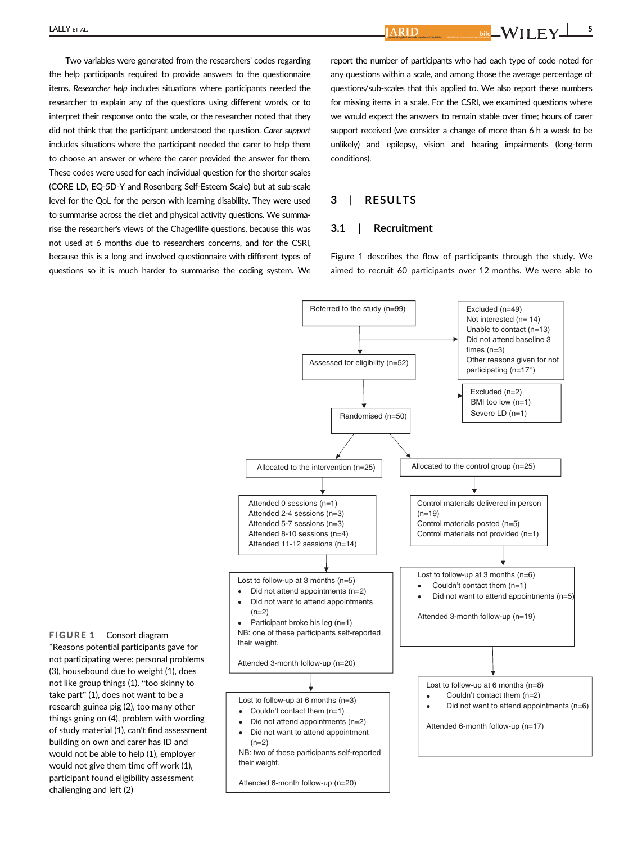$\overline{\text{A}\text{R}\text{I}\text{D}}$  , and  $\overline{\text{A}\text{R}\text{I}\text{D}}$  , and  $\overline{\text{A}\text{R}\text{I}\text{D}}$  , and  $\overline{\text{A}\text{R}\text{I}\text{D}}$  , and  $\overline{\text{A}\text{N}\text{I}\text{I}}$  ,  $\overline{\text{F}\text{V}}$  ,  $\overline{\text{A}\text{R}\text{I}\text{D}}$ 

Two variables were generated from the researchers' codes regarding the help participants required to provide answers to the questionnaire items. Researcher help includes situations where participants needed the researcher to explain any of the questions using different words, or to interpret their response onto the scale, or the researcher noted that they did not think that the participant understood the question. Carer support includes situations where the participant needed the carer to help them to choose an answer or where the carer provided the answer for them. These codes were used for each individual question for the shorter scales (CORE LD, EQ-5D-Y and Rosenberg Self-Esteem Scale) but at sub-scale level for the QoL for the person with learning disability. They were used to summarise across the diet and physical activity questions. We summarise the researcher's views of the Chage4life questions, because this was not used at 6 months due to researchers concerns, and for the CSRI, because this is a long and involved questionnaire with different types of questions so it is much harder to summarise the coding system. We

report the number of participants who had each type of code noted for any questions within a scale, and among those the average percentage of questions/sub-scales that this applied to. We also report these numbers for missing items in a scale. For the CSRI, we examined questions where we would expect the answers to remain stable over time; hours of carer support received (we consider a change of more than 6 h a week to be unlikely) and epilepsy, vision and hearing impairments (long-term conditions).

# 3 | RESULTS

## 3.1 | Recruitment

Figure 1 describes the flow of participants through the study. We aimed to recruit 60 participants over 12 months. We were able to

Lost to follow-up at 6 months (n=3) Couldn't contact them  $(n=1)$ • Did not attend appointments (n=2) • Did not want to attend appointment  $(n=2)$ NB: two of these participants self-reported their weight. Attended 6-month follow-up (n=20) Lost to follow-up at 6 months (n=8) • Couldn't contact them (n=2) • Did not want to attend appointments (n=6) Attended 6-month follow-up (n=17) Referred to the study (n=99) Assessed for eligibility (n=52) Excluded (n=49) Not interested (n= 14) Unable to contact (n=13) Did not attend baseline 3 times  $(n=3)$ Other reasons given for not participating (n=17\*) Randomised (n=50) Excluded (n=2) BMI too low (n=1) Severe LD (n=1) Allocated to the intervention ( $n=25$ )  $\vert$  Allocated to the control group ( $n=25$ ) Lost to follow-up at 3 months (n=5)  $\bullet$  Did not attend appointments (n=2) • Did not want to attend appointments  $(n=2)$ Participant broke his leg (n=1) NB: one of these participants self-reported their weight. Attended 3-month follow-up (n=20) Lost to follow-up at 3 months (n=6) Couldn't contact them  $(n=1)$ Did not want to attend appointments  $(n=5)$ Attended 3-month follow-up (n=19) Attended 0 sessions (n=1) Attended 2-4 sessions (n=3) Attended 5-7 sessions (n=3) Attended 8-10 sessions (n=4) Attended 11-12 sessions (n=14) Control materials delivered in person  $(n=19)$ Control materials posted (n=5) Control materials not provided (n=1)

FIGURE 1 Consort diagram \*Reasons potential participants gave for not participating were: personal problems (3), housebound due to weight (1), does not like group things (1), "too skinny to take part" (1), does not want to be a research guinea pig (2), too many other things going on (4), problem with wording of study material (1), can't find assessment building on own and carer has ID and would not be able to help (1), employer would not give them time off work (1), participant found eligibility assessment challenging and left (2)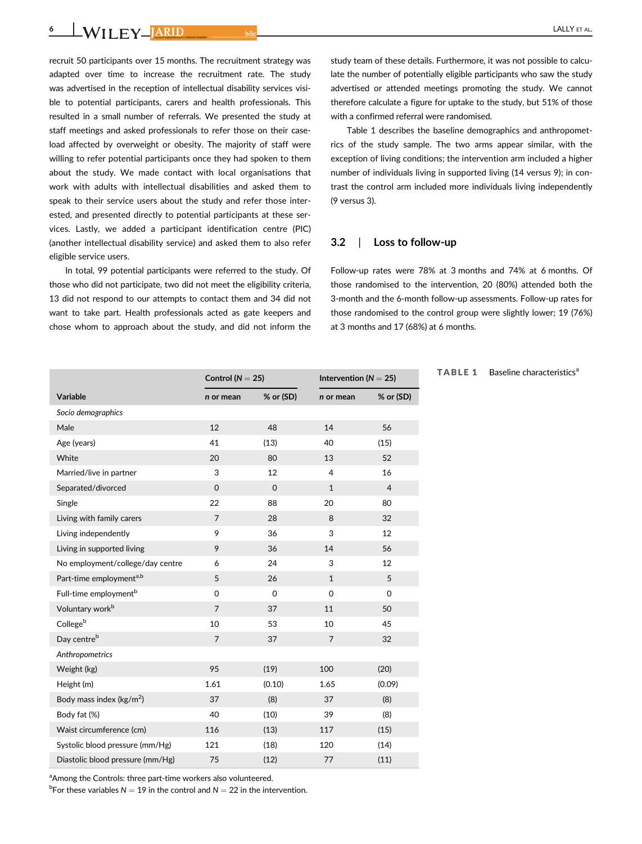6 **WILEY JARID** bild bild **CALLY ET AL.** 

recruit 50 participants over 15 months. The recruitment strategy was adapted over time to increase the recruitment rate. The study was advertised in the reception of intellectual disability services visible to potential participants, carers and health professionals. This resulted in a small number of referrals. We presented the study at staff meetings and asked professionals to refer those on their caseload affected by overweight or obesity. The majority of staff were willing to refer potential participants once they had spoken to them about the study. We made contact with local organisations that work with adults with intellectual disabilities and asked them to speak to their service users about the study and refer those interested, and presented directly to potential participants at these services. Lastly, we added a participant identification centre (PIC) (another intellectual disability service) and asked them to also refer eligible service users.

In total, 99 potential participants were referred to the study. Of those who did not participate, two did not meet the eligibility criteria, 13 did not respond to our attempts to contact them and 34 did not want to take part. Health professionals acted as gate keepers and chose whom to approach about the study, and did not inform the

study team of these details. Furthermore, it was not possible to calculate the number of potentially eligible participants who saw the study advertised or attended meetings promoting the study. We cannot therefore calculate a figure for uptake to the study, but 51% of those with a confirmed referral were randomised.

Table 1 describes the baseline demographics and anthropometrics of the study sample. The two arms appear similar, with the exception of living conditions; the intervention arm included a higher number of individuals living in supported living (14 versus 9); in contrast the control arm included more individuals living independently (9 versus 3).

## 3.2 | Loss to follow-up

Follow-up rates were 78% at 3 months and 74% at 6 months. Of those randomised to the intervention, 20 (80%) attended both the 3-month and the 6-month follow-up assessments. Follow-up rates for those randomised to the control group were slightly lower; 19 (76%) at 3 months and 17 (68%) at 6 months.

TABLE 1 Baseline characteristics<sup>a</sup>

|                                     | Control ( $N = 25$ ) |             | Intervention ( $N = 25$ ) |                |
|-------------------------------------|----------------------|-------------|---------------------------|----------------|
| Variable                            | n or mean            | % or (SD)   | n or mean                 | % or (SD)      |
| Socio demographics                  |                      |             |                           |                |
| Male                                | 12                   | 48          | 14                        | 56             |
| Age (years)                         | 41                   | (13)        | 40                        | (15)           |
| White                               | 20                   | 80          | 13                        | 52             |
| Married/live in partner             | 3                    | 12          | 4                         | 16             |
| Separated/divorced                  | $\overline{0}$       | $\mathbf 0$ | $\mathbf{1}$              | $\overline{4}$ |
| Single                              | 22                   | 88          | 20                        | 80             |
| Living with family carers           | $\overline{7}$       | 28          | 8                         | 32             |
| Living independently                | 9                    | 36          | 3                         | 12             |
| Living in supported living          | 9                    | 36          | 14                        | 56             |
| No employment/college/day centre    | 6                    | 24          | 3                         | 12             |
| Part-time employment <sup>a,b</sup> | 5                    | 26          | $\mathbf{1}$              | 5              |
| Full-time employment <sup>b</sup>   | $\Omega$             | $\mathbf 0$ | $\Omega$                  | $\Omega$       |
| Voluntary work <sup>b</sup>         | $\overline{7}$       | 37          | 11                        | 50             |
| Collegeb                            | 10                   | 53          | 10                        | 45             |
| Day centre <sup>b</sup>             | $\overline{7}$       | 37          | $\overline{7}$            | 32             |
| Anthropometrics                     |                      |             |                           |                |
| Weight (kg)                         | 95                   | (19)        | 100                       | (20)           |
| Height (m)                          | 1.61                 | (0.10)      | 1.65                      | (0.09)         |
| Body mass index ( $\text{kg/m}^2$ ) | 37                   | (8)         | 37                        | (8)            |
| Body fat (%)                        | 40                   | (10)        | 39                        | (8)            |
| Waist circumference (cm)            | 116                  | (13)        | 117                       | (15)           |
| Systolic blood pressure (mm/Hg)     | 121                  | (18)        | 120                       | (14)           |
| Diastolic blood pressure (mm/Hg)    | 75                   | (12)        | 77                        | (11)           |

<sup>a</sup> Among the Controls: three part-time workers also volunteered.

<sup>b</sup>For these variables  $N = 19$  in the control and  $N = 22$  in the intervention.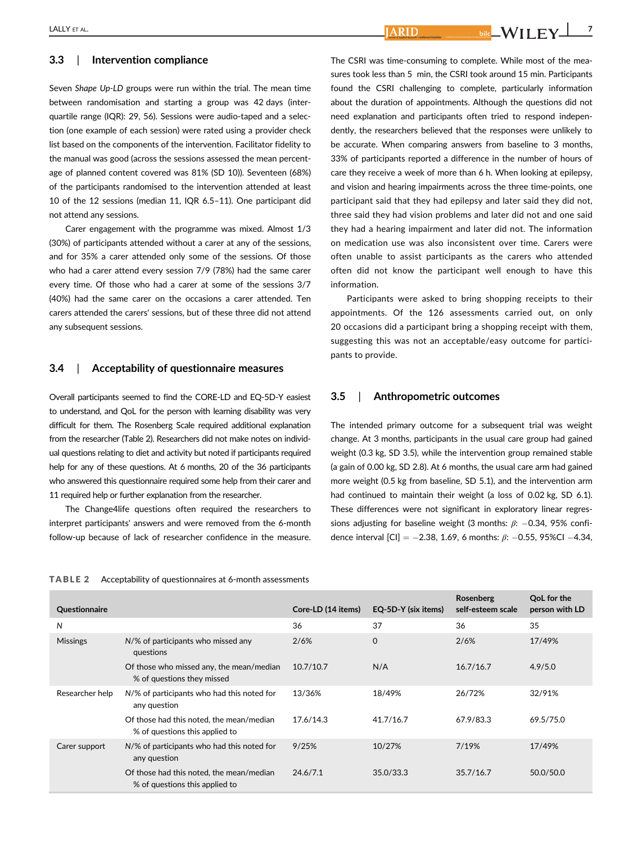# 3.3 | Intervention compliance

Seven Shape Up-LD groups were run within the trial. The mean time between randomisation and starting a group was 42 days (interquartile range (IQR): 29, 56). Sessions were audio-taped and a selection (one example of each session) were rated using a provider check list based on the components of the intervention. Facilitator fidelity to the manual was good (across the sessions assessed the mean percentage of planned content covered was 81% (SD 10)). Seventeen (68%) of the participants randomised to the intervention attended at least 10 of the 12 sessions (median 11, IQR 6.5–11). One participant did not attend any sessions.

Carer engagement with the programme was mixed. Almost 1/3 (30%) of participants attended without a carer at any of the sessions, and for 35% a carer attended only some of the sessions. Of those who had a carer attend every session 7/9 (78%) had the same carer every time. Of those who had a carer at some of the sessions 3/7 (40%) had the same carer on the occasions a carer attended. Ten carers attended the carers' sessions, but of these three did not attend any subsequent sessions.

## 3.4 | Acceptability of questionnaire measures

Overall participants seemed to find the CORE-LD and EQ-5D-Y easiest to understand, and QoL for the person with learning disability was very difficult for them. The Rosenberg Scale required additional explanation from the researcher (Table 2). Researchers did not make notes on individual questions relating to diet and activity but noted if participants required help for any of these questions. At 6 months, 20 of the 36 participants who answered this questionnaire required some help from their carer and 11 required help or further explanation from the researcher.

The Change4life questions often required the researchers to interpret participants' answers and were removed from the 6-month follow-up because of lack of researcher confidence in the measure.

The CSRI was time-consuming to complete. While most of the measures took less than 5 min, the CSRI took around 15 min. Participants found the CSRI challenging to complete, particularly information about the duration of appointments. Although the questions did not need explanation and participants often tried to respond independently, the researchers believed that the responses were unlikely to be accurate. When comparing answers from baseline to 3 months, 33% of participants reported a difference in the number of hours of care they receive a week of more than 6 h. When looking at epilepsy, and vision and hearing impairments across the three time-points, one participant said that they had epilepsy and later said they did not, three said they had vision problems and later did not and one said they had a hearing impairment and later did not. The information on medication use was also inconsistent over time. Carers were often unable to assist participants as the carers who attended often did not know the participant well enough to have this information.

Participants were asked to bring shopping receipts to their appointments. Of the 126 assessments carried out, on only 20 occasions did a participant bring a shopping receipt with them, suggesting this was not an acceptable/easy outcome for participants to provide.

## 3.5 | Anthropometric outcomes

The intended primary outcome for a subsequent trial was weight change. At 3 months, participants in the usual care group had gained weight (0.3 kg, SD 3.5), while the intervention group remained stable (a gain of 0.00 kg, SD 2.8). At 6 months, the usual care arm had gained more weight (0.5 kg from baseline, SD 5.1), and the intervention arm had continued to maintain their weight (a loss of 0.02 kg, SD 6.1). These differences were not significant in exploratory linear regressions adjusting for baseline weight (3 months:  $\beta$ : -0.34, 95% confidence interval  $|CI| = -2.38, 1.69, 6$  months:  $\beta$ : -0.55, 95%CI -4.34,

#### TABLE 2 Acceptability of questionnaires at 6-month assessments

| Questionnaire   |                                                                            | Core-LD (14 items) | EQ-5D-Y (six items) | Rosenberg<br>self-esteem scale | OoL for the<br>person with LD |
|-----------------|----------------------------------------------------------------------------|--------------------|---------------------|--------------------------------|-------------------------------|
| N               |                                                                            | 36                 | 37                  | 36                             | 35                            |
| <b>Missings</b> | N/% of participants who missed any<br>questions                            | 2/6%               | $\Omega$            | 2/6%                           | 17/49%                        |
|                 | Of those who missed any, the mean/median<br>% of questions they missed     | 10.7/10.7          | N/A                 | 16.7/16.7                      | 4.9/5.0                       |
| Researcher help | N/% of participants who had this noted for<br>any question                 | 13/36%             | 18/49%              | 26/72%                         | 32/91%                        |
|                 | Of those had this noted, the mean/median<br>% of questions this applied to | 17.6/14.3          | 41.7/16.7           | 67.9/83.3                      | 69.5/75.0                     |
| Carer support   | N/% of participants who had this noted for<br>any question                 | 9/25%              | 10/27%              | 7/19%                          | 17/49%                        |
|                 | Of those had this noted, the mean/median<br>% of questions this applied to | 24.6/7.1           | 35.0/33.3           | 35.7/16.7                      | 50.0/50.0                     |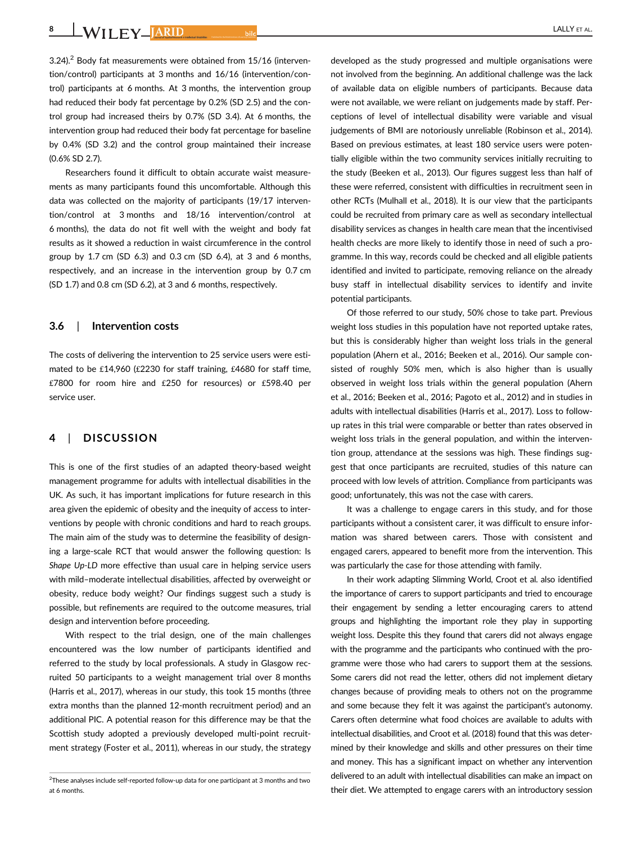8 WILEY JARID bild bild **Street ALLY ET AL.** 

 $3.24$ ).<sup>2</sup> Body fat measurements were obtained from 15/16 (intervention/control) participants at 3 months and 16/16 (intervention/control) participants at 6 months. At 3 months, the intervention group had reduced their body fat percentage by 0.2% (SD 2.5) and the control group had increased theirs by 0.7% (SD 3.4). At 6 months, the intervention group had reduced their body fat percentage for baseline by 0.4% (SD 3.2) and the control group maintained their increase (0.6% SD 2.7).

Researchers found it difficult to obtain accurate waist measurements as many participants found this uncomfortable. Although this data was collected on the majority of participants (19/17 intervention/control at 3 months and 18/16 intervention/control at 6 months), the data do not fit well with the weight and body fat results as it showed a reduction in waist circumference in the control group by 1.7 cm (SD 6.3) and 0.3 cm (SD 6.4), at 3 and 6 months, respectively, and an increase in the intervention group by 0.7 cm (SD 1.7) and 0.8 cm (SD 6.2), at 3 and 6 months, respectively.

## 3.6 | Intervention costs

The costs of delivering the intervention to 25 service users were estimated to be £14,960 (£2230 for staff training, £4680 for staff time, £7800 for room hire and £250 for resources) or £598.40 per service user.

# 4 | DISCUSSION

This is one of the first studies of an adapted theory-based weight management programme for adults with intellectual disabilities in the UK. As such, it has important implications for future research in this area given the epidemic of obesity and the inequity of access to interventions by people with chronic conditions and hard to reach groups. The main aim of the study was to determine the feasibility of designing a large-scale RCT that would answer the following question: Is Shape Up-LD more effective than usual care in helping service users with mild–moderate intellectual disabilities, affected by overweight or obesity, reduce body weight? Our findings suggest such a study is possible, but refinements are required to the outcome measures, trial design and intervention before proceeding.

With respect to the trial design, one of the main challenges encountered was the low number of participants identified and referred to the study by local professionals. A study in Glasgow recruited 50 participants to a weight management trial over 8 months (Harris et al., 2017), whereas in our study, this took 15 months (three extra months than the planned 12-month recruitment period) and an additional PIC. A potential reason for this difference may be that the Scottish study adopted a previously developed multi-point recruitment strategy (Foster et al., 2011), whereas in our study, the strategy

developed as the study progressed and multiple organisations were not involved from the beginning. An additional challenge was the lack of available data on eligible numbers of participants. Because data were not available, we were reliant on judgements made by staff. Perceptions of level of intellectual disability were variable and visual judgements of BMI are notoriously unreliable (Robinson et al., 2014). Based on previous estimates, at least 180 service users were potentially eligible within the two community services initially recruiting to the study (Beeken et al., 2013). Our figures suggest less than half of these were referred, consistent with difficulties in recruitment seen in other RCTs (Mulhall et al., 2018). It is our view that the participants could be recruited from primary care as well as secondary intellectual disability services as changes in health care mean that the incentivised health checks are more likely to identify those in need of such a programme. In this way, records could be checked and all eligible patients identified and invited to participate, removing reliance on the already busy staff in intellectual disability services to identify and invite potential participants.

Of those referred to our study, 50% chose to take part. Previous weight loss studies in this population have not reported uptake rates, but this is considerably higher than weight loss trials in the general population (Ahern et al., 2016; Beeken et al., 2016). Our sample consisted of roughly 50% men, which is also higher than is usually observed in weight loss trials within the general population (Ahern et al., 2016; Beeken et al., 2016; Pagoto et al., 2012) and in studies in adults with intellectual disabilities (Harris et al., 2017). Loss to followup rates in this trial were comparable or better than rates observed in weight loss trials in the general population, and within the intervention group, attendance at the sessions was high. These findings suggest that once participants are recruited, studies of this nature can proceed with low levels of attrition. Compliance from participants was good; unfortunately, this was not the case with carers.

It was a challenge to engage carers in this study, and for those participants without a consistent carer, it was difficult to ensure information was shared between carers. Those with consistent and engaged carers, appeared to benefit more from the intervention. This was particularly the case for those attending with family.

In their work adapting Slimming World, Croot et al. also identified the importance of carers to support participants and tried to encourage their engagement by sending a letter encouraging carers to attend groups and highlighting the important role they play in supporting weight loss. Despite this they found that carers did not always engage with the programme and the participants who continued with the programme were those who had carers to support them at the sessions. Some carers did not read the letter, others did not implement dietary changes because of providing meals to others not on the programme and some because they felt it was against the participant's autonomy. Carers often determine what food choices are available to adults with intellectual disabilities, and Croot et al. (2018) found that this was determined by their knowledge and skills and other pressures on their time and money. This has a significant impact on whether any intervention delivered to an adult with intellectual disabilities can make an impact on their diet. We attempted to engage carers with an introductory session

 $^{2}$ These analyses include self-reported follow-up data for one participant at 3 months and two at 6 months.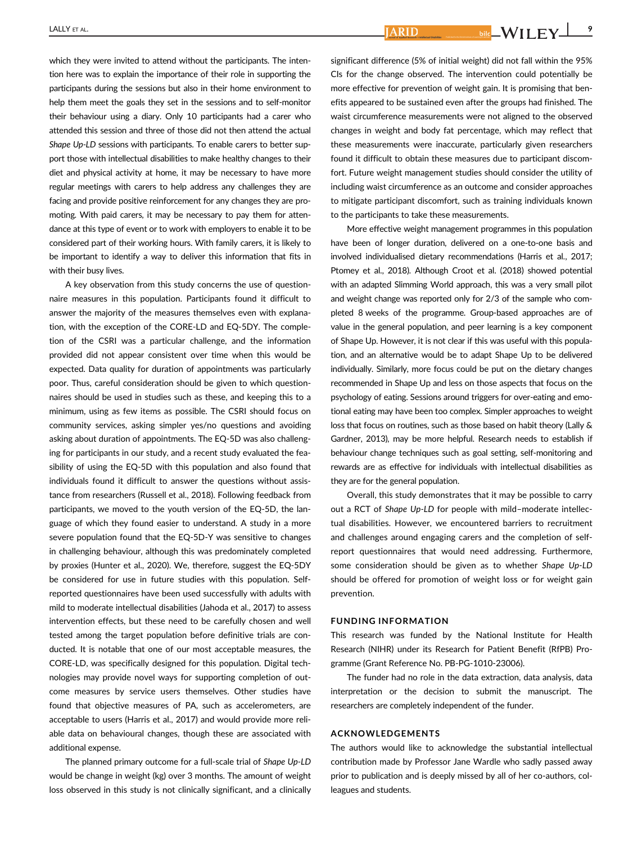$L$ ALLY ET AL.  $\blacksquare$   $\blacksquare$   $\blacksquare$   $\blacksquare$   $\blacksquare$   $\blacksquare$   $\blacksquare$   $\blacksquare$   $\blacksquare$   $\blacksquare$   $\blacksquare$   $\blacksquare$   $\blacksquare$   $\blacksquare$   $\blacksquare$   $\blacksquare$   $\blacksquare$   $\blacksquare$   $\blacksquare$   $\blacksquare$   $\blacksquare$   $\blacksquare$   $\blacksquare$   $\blacksquare$   $\blacksquare$   $\blacksquare$   $\blacksquare$   $\blacksquare$   $\blacksquare$   $\bl$ 

which they were invited to attend without the participants. The intention here was to explain the importance of their role in supporting the participants during the sessions but also in their home environment to help them meet the goals they set in the sessions and to self-monitor their behaviour using a diary. Only 10 participants had a carer who attended this session and three of those did not then attend the actual Shape Up-LD sessions with participants. To enable carers to better support those with intellectual disabilities to make healthy changes to their diet and physical activity at home, it may be necessary to have more regular meetings with carers to help address any challenges they are facing and provide positive reinforcement for any changes they are promoting. With paid carers, it may be necessary to pay them for attendance at this type of event or to work with employers to enable it to be considered part of their working hours. With family carers, it is likely to be important to identify a way to deliver this information that fits in with their busy lives.

A key observation from this study concerns the use of questionnaire measures in this population. Participants found it difficult to answer the majority of the measures themselves even with explanation, with the exception of the CORE-LD and EQ-5DY. The completion of the CSRI was a particular challenge, and the information provided did not appear consistent over time when this would be expected. Data quality for duration of appointments was particularly poor. Thus, careful consideration should be given to which questionnaires should be used in studies such as these, and keeping this to a minimum, using as few items as possible. The CSRI should focus on community services, asking simpler yes/no questions and avoiding asking about duration of appointments. The EQ-5D was also challenging for participants in our study, and a recent study evaluated the feasibility of using the EQ-5D with this population and also found that individuals found it difficult to answer the questions without assistance from researchers (Russell et al., 2018). Following feedback from participants, we moved to the youth version of the EQ-5D, the language of which they found easier to understand. A study in a more severe population found that the EQ-5D-Y was sensitive to changes in challenging behaviour, although this was predominately completed by proxies (Hunter et al., 2020). We, therefore, suggest the EQ-5DY be considered for use in future studies with this population. Selfreported questionnaires have been used successfully with adults with mild to moderate intellectual disabilities (Jahoda et al., 2017) to assess intervention effects, but these need to be carefully chosen and well tested among the target population before definitive trials are conducted. It is notable that one of our most acceptable measures, the CORE-LD, was specifically designed for this population. Digital technologies may provide novel ways for supporting completion of outcome measures by service users themselves. Other studies have found that objective measures of PA, such as accelerometers, are acceptable to users (Harris et al., 2017) and would provide more reliable data on behavioural changes, though these are associated with additional expense.

The planned primary outcome for a full-scale trial of Shape Up-LD would be change in weight (kg) over 3 months. The amount of weight loss observed in this study is not clinically significant, and a clinically

significant difference (5% of initial weight) did not fall within the 95% CIs for the change observed. The intervention could potentially be more effective for prevention of weight gain. It is promising that benefits appeared to be sustained even after the groups had finished. The waist circumference measurements were not aligned to the observed changes in weight and body fat percentage, which may reflect that these measurements were inaccurate, particularly given researchers found it difficult to obtain these measures due to participant discomfort. Future weight management studies should consider the utility of including waist circumference as an outcome and consider approaches to mitigate participant discomfort, such as training individuals known to the participants to take these measurements.

More effective weight management programmes in this population have been of longer duration, delivered on a one-to-one basis and involved individualised dietary recommendations (Harris et al., 2017; Ptomey et al., 2018). Although Croot et al. (2018) showed potential with an adapted Slimming World approach, this was a very small pilot and weight change was reported only for 2/3 of the sample who completed 8 weeks of the programme. Group-based approaches are of value in the general population, and peer learning is a key component of Shape Up. However, it is not clear if this was useful with this population, and an alternative would be to adapt Shape Up to be delivered individually. Similarly, more focus could be put on the dietary changes recommended in Shape Up and less on those aspects that focus on the psychology of eating. Sessions around triggers for over-eating and emotional eating may have been too complex. Simpler approaches to weight loss that focus on routines, such as those based on habit theory (Lally & Gardner, 2013), may be more helpful. Research needs to establish if behaviour change techniques such as goal setting, self-monitoring and rewards are as effective for individuals with intellectual disabilities as they are for the general population.

Overall, this study demonstrates that it may be possible to carry out a RCT of Shape Up-LD for people with mild–moderate intellectual disabilities. However, we encountered barriers to recruitment and challenges around engaging carers and the completion of selfreport questionnaires that would need addressing. Furthermore, some consideration should be given as to whether Shape Up-LD should be offered for promotion of weight loss or for weight gain prevention.

# FUNDING INFORMATION

This research was funded by the National Institute for Health Research (NIHR) under its Research for Patient Benefit (RfPB) Programme (Grant Reference No. PB-PG-1010-23006).

The funder had no role in the data extraction, data analysis, data interpretation or the decision to submit the manuscript. The researchers are completely independent of the funder.

#### ACKNOWLEDGEMENTS

The authors would like to acknowledge the substantial intellectual contribution made by Professor Jane Wardle who sadly passed away prior to publication and is deeply missed by all of her co-authors, colleagues and students.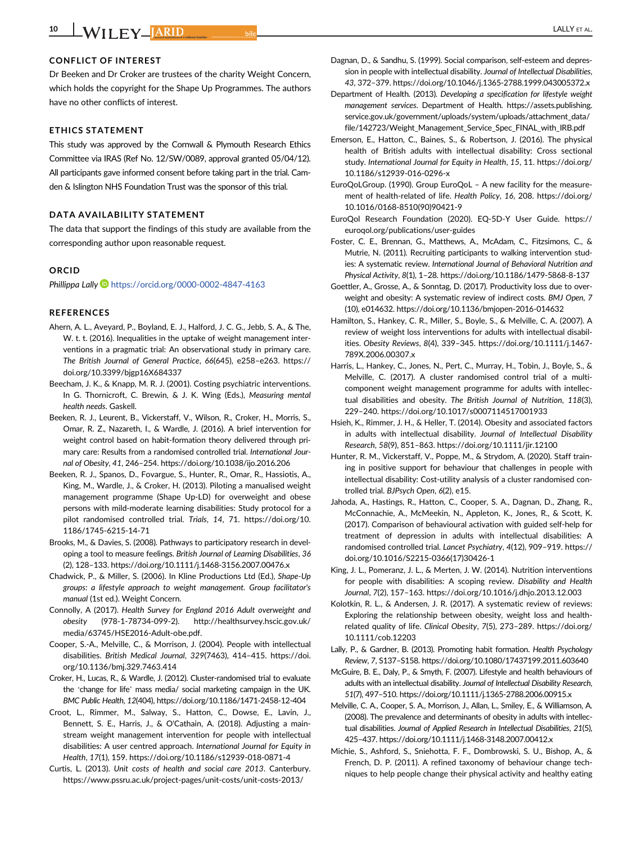# CONFLICT OF INTEREST

Dr Beeken and Dr Croker are trustees of the charity Weight Concern, which holds the copyright for the Shape Up Programmes. The authors have no other conflicts of interest.

# ETHICS STATEMENT

This study was approved by the Cornwall & Plymouth Research Ethics Committee via IRAS (Ref No. 12/SW/0089, approval granted 05/04/12). All participants gave informed consent before taking part in the trial. Camden & Islington NHS Foundation Trust was the sponsor of this trial.

#### DATA AVAILABILITY STATEMENT

The data that support the findings of this study are available from the corresponding author upon reasonable request.

#### ORCID

Phillippa Lally **b** <https://orcid.org/0000-0002-4847-4163>

#### **REFERENCES**

- Ahern, A. L., Aveyard, P., Boyland, E. J., Halford, J. C. G., Jebb, S. A., & The, W. t. t. (2016). Inequalities in the uptake of weight management interventions in a pragmatic trial: An observational study in primary care. The British Journal of General Practice, 66(645), e258–e263. [https://](https://doi.org/10.3399/bjgp16X684337) [doi.org/10.3399/bjgp16X684337](https://doi.org/10.3399/bjgp16X684337)
- Beecham, J. K., & Knapp, M. R. J. (2001). Costing psychiatric interventions. In G. Thornicroft, C. Brewin, & J. K. Wing (Eds.), Measuring mental health needs. Gaskell.
- Beeken, R. J., Leurent, B., Vickerstaff, V., Wilson, R., Croker, H., Morris, S., Omar, R. Z., Nazareth, I., & Wardle, J. (2016). A brief intervention for weight control based on habit-formation theory delivered through primary care: Results from a randomised controlled trial. International Journal of Obesity, 41, 246–254.<https://doi.org/10.1038/ijo.2016.206>
- Beeken, R. J., Spanos, D., Fovargue, S., Hunter, R., Omar, R., Hassiotis, A., King, M., Wardle, J., & Croker, H. (2013). Piloting a manualised weight management programme (Shape Up-LD) for overweight and obese persons with mild-moderate learning disabilities: Study protocol for a pilot randomised controlled trial. Trials, 14, 71. [https://doi.org/10.](https://doi.org/10.1186/1745-6215-14-71) [1186/1745-6215-14-71](https://doi.org/10.1186/1745-6215-14-71)
- Brooks, M., & Davies, S. (2008). Pathways to participatory research in developing a tool to measure feelings. British Journal of Learning Disabilities, 36 (2), 128–133.<https://doi.org/10.1111/j.1468-3156.2007.00476.x>
- Chadwick, P., & Miller, S. (2006). In Kline Productions Ltd (Ed.), Shape-Up groups: a lifestyle approach to weight management. Group facilitator's manual (1st ed.). Weight Concern.
- Connolly, A (2017). Health Survey for England 2016 Adult overweight and obesity (978-1-78734-099-2). [http://healthsurvey.hscic.gov.uk/](http://healthsurvey.hscic.gov.uk/media/63745/HSE2016-Adult-obe.pdf) [media/63745/HSE2016-Adult-obe.pdf.](http://healthsurvey.hscic.gov.uk/media/63745/HSE2016-Adult-obe.pdf)
- Cooper, S.-A., Melville, C., & Morrison, J. (2004). People with intellectual disabilities. British Medical Journal, 329(7463), 414–415. [https://doi.](https://doi.org/10.1136/bmj.329.7463.414) [org/10.1136/bmj.329.7463.414](https://doi.org/10.1136/bmj.329.7463.414)
- Croker, H., Lucas, R., & Wardle, J. (2012). Cluster-randomised trial to evaluate the 'change for life' mass media/ social marketing campaign in the UK. BMC Public Health, 12(404),<https://doi.org/10.1186/1471-2458-12-404>
- Croot, L., Rimmer, M., Salway, S., Hatton, C., Dowse, E., Lavin, J., Bennett, S. E., Harris, J., & O'Cathain, A. (2018). Adjusting a mainstream weight management intervention for people with intellectual disabilities: A user centred approach. International Journal for Equity in Health, 17(1), 159.<https://doi.org/10.1186/s12939-018-0871-4>
- Curtis, L. (2013). Unit costs of health and social care 2013. Canterbury. <https://www.pssru.ac.uk/project-pages/unit-costs/unit-costs-2013/>
- Dagnan, D., & Sandhu, S. (1999). Social comparison, self-esteem and depression in people with intellectual disability. Journal of Intellectual Disabilities, 43, 372–379.<https://doi.org/10.1046/j.1365-2788.1999.043005372.x>
- Department of Health. (2013). Developing a specification for lifestyle weight management services. Department of Health. [https://assets.publishing.](https://assets.publishing.service.gov.uk/government/uploads/system/uploads/attachment_data/file/142723/Weight_Management_Service_Spec_FINAL_with_IRB.pdf) [service.gov.uk/government/uploads/system/uploads/attachment\\_data/](https://assets.publishing.service.gov.uk/government/uploads/system/uploads/attachment_data/file/142723/Weight_Management_Service_Spec_FINAL_with_IRB.pdf) [file/142723/Weight\\_Management\\_Service\\_Spec\\_FINAL\\_with\\_IRB.pdf](https://assets.publishing.service.gov.uk/government/uploads/system/uploads/attachment_data/file/142723/Weight_Management_Service_Spec_FINAL_with_IRB.pdf)
- Emerson, E., Hatton, C., Baines, S., & Robertson, J. (2016). The physical health of British adults with intellectual disability: Cross sectional study. International Journal for Equity in Health, 15, 11. [https://doi.org/](https://doi.org/10.1186/s12939-016-0296-x) [10.1186/s12939-016-0296-x](https://doi.org/10.1186/s12939-016-0296-x)
- EuroQoLGroup. (1990). Group EuroQoL A new facility for the measurement of health-related of life. Health Policy, 16, 208. [https://doi.org/](https://doi.org/10.1016/0168-8510(90)90421-9) [10.1016/0168-8510\(90\)90421-9](https://doi.org/10.1016/0168-8510(90)90421-9)
- EuroQol Research Foundation (2020). EQ-5D-Y User Guide. [https://](https://euroqol.org/publications/user-guides) [euroqol.org/publications/user-guides](https://euroqol.org/publications/user-guides)
- Foster, C. E., Brennan, G., Matthews, A., McAdam, C., Fitzsimons, C., & Mutrie, N. (2011). Recruiting participants to walking intervention studies: A systematic review. International Journal of Behavioral Nutrition and Physical Activity, 8(1), 1–28.<https://doi.org/10.1186/1479-5868-8-137>
- Goettler, A., Grosse, A., & Sonntag, D. (2017). Productivity loss due to overweight and obesity: A systematic review of indirect costs. BMJ Open, 7 (10), e014632.<https://doi.org/10.1136/bmjopen-2016-014632>
- Hamilton, S., Hankey, C. R., Miller, S., Boyle, S., & Melville, C. A. (2007). A review of weight loss interventions for adults with intellectual disabilities. Obesity Reviews, 8(4), 339–345. [https://doi.org/10.1111/j.1467-](https://doi.org/10.1111/j.1467-789X.2006.00307.x) [789X.2006.00307.x](https://doi.org/10.1111/j.1467-789X.2006.00307.x)
- Harris, L., Hankey, C., Jones, N., Pert, C., Murray, H., Tobin, J., Boyle, S., & Melville, C. (2017). A cluster randomised control trial of a multicomponent weight management programme for adults with intellectual disabilities and obesity. The British Journal of Nutrition, 118(3), 229–240.<https://doi.org/10.1017/s0007114517001933>
- Hsieh, K., Rimmer, J. H., & Heller, T. (2014). Obesity and associated factors in adults with intellectual disability. Journal of Intellectual Disability Research, 58(9), 851–863.<https://doi.org/10.1111/jir.12100>
- Hunter, R. M., Vickerstaff, V., Poppe, M., & Strydom, A. (2020). Staff training in positive support for behaviour that challenges in people with intellectual disability: Cost-utility analysis of a cluster randomised controlled trial. BJPsych Open, 6(2), e15.
- Jahoda, A., Hastings, R., Hatton, C., Cooper, S. A., Dagnan, D., Zhang, R., McConnachie, A., McMeekin, N., Appleton, K., Jones, R., & Scott, K. (2017). Comparison of behavioural activation with guided self-help for treatment of depression in adults with intellectual disabilities: A randomised controlled trial. Lancet Psychiatry, 4(12), 909–919. [https://](https://doi.org/10.1016/S2215-0366(17)30426-1) [doi.org/10.1016/S2215-0366\(17\)30426-1](https://doi.org/10.1016/S2215-0366(17)30426-1)
- King, J. L., Pomeranz, J. L., & Merten, J. W. (2014). Nutrition interventions for people with disabilities: A scoping review. Disability and Health Journal, 7(2), 157–163.<https://doi.org/10.1016/j.dhjo.2013.12.003>
- Kolotkin, R. L., & Andersen, J. R. (2017). A systematic review of reviews: Exploring the relationship between obesity, weight loss and healthrelated quality of life. Clinical Obesity, 7(5), 273–289. [https://doi.org/](https://doi.org/10.1111/cob.12203) [10.1111/cob.12203](https://doi.org/10.1111/cob.12203)
- Lally, P., & Gardner, B. (2013). Promoting habit formation. Health Psychology Review, 7, S137–S158.<https://doi.org/10.1080/17437199.2011.603640>
- McGuire, B. E., Daly, P., & Smyth, F. (2007). Lifestyle and health behaviours of adults with an intellectual disability. Journal of Intellectual Disability Research, 51(7), 497–510.<https://doi.org/10.1111/j.1365-2788.2006.00915.x>
- Melville, C. A., Cooper, S. A., Morrison, J., Allan, L., Smiley, E., & Williamson, A. (2008). The prevalence and determinants of obesity in adults with intellectual disabilities. Journal of Applied Research in Intellectual Disabilities, 21(5), 425–437.<https://doi.org/10.1111/j.1468-3148.2007.00412.x>
- Michie, S., Ashford, S., Sniehotta, F. F., Dombrowski, S. U., Bishop, A., & French, D. P. (2011). A refined taxonomy of behaviour change techniques to help people change their physical activity and healthy eating